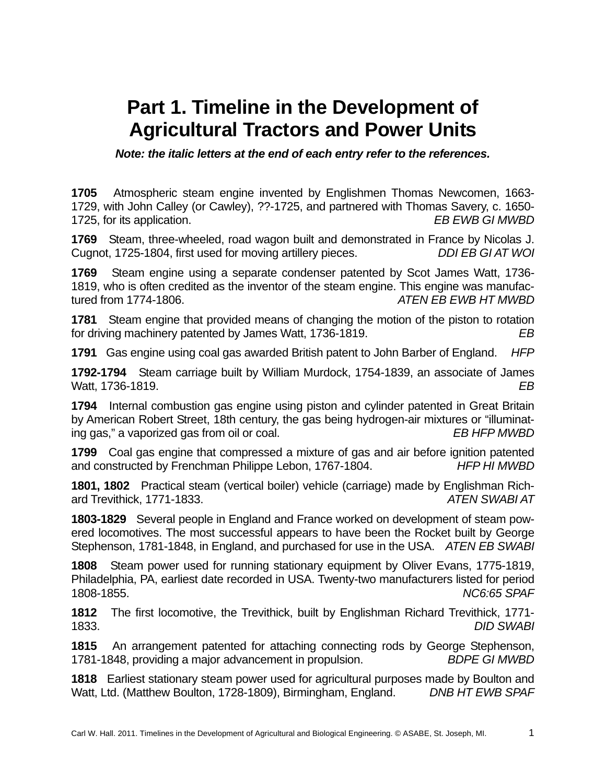## **Part 1. Timeline in the Development of Agricultural Tractors and Power Units**

*Note: the italic letters at the end of each entry refer to the references.* 

**1705** Atmospheric steam engine invented by Englishmen Thomas Newcomen, 1663- 1729, with John Calley (or Cawley), ??-1725, and partnered with Thomas Savery, c. 1650- 1725, for its application. *EB EWB GI MWBD* 

**1769** Steam, three-wheeled, road wagon built and demonstrated in France by Nicolas J. Cugnot, 1725-1804, first used for moving artillery pieces. *DDI EB GI AT WOI* 

**1769** Steam engine using a separate condenser patented by Scot James Watt, 1736- 1819, who is often credited as the inventor of the steam engine. This engine was manufactured from 1774-1806. *ATEN EB EWB HT MWBD* 

**1781** Steam engine that provided means of changing the motion of the piston to rotation for driving machinery patented by James Watt, 1736-1819. *EB*

**1791** Gas engine using coal gas awarded British patent to John Barber of England. *HFP*

**1792-1794** Steam carriage built by William Murdock, 1754-1839, an associate of James Watt, 1736-1819. *EB* 

**1794** Internal combustion gas engine using piston and cylinder patented in Great Britain by American Robert Street, 18th century, the gas being hydrogen-air mixtures or "illuminating gas," a vaporized gas from oil or coal. *EB HFP MWBD*

**1799** Coal gas engine that compressed a mixture of gas and air before ignition patented and constructed by Frenchman Philippe Lebon, 1767-1804. *HFP HI MWBD*

**1801, 1802** Practical steam (vertical boiler) vehicle (carriage) made by Englishman Richard Trevithick, 1771-1833. *ATEN SWABI AT* 

**1803-1829** Several people in England and France worked on development of steam powered locomotives. The most successful appears to have been the Rocket built by George Stephenson, 1781-1848, in England, and purchased for use in the USA. *ATEN EB SWABI* 

**1808** Steam power used for running stationary equipment by Oliver Evans, 1775-1819, Philadelphia, PA, earliest date recorded in USA. Twenty-two manufacturers listed for period 1808-1855. *NC6:65 SPAF*

**1812** The first locomotive, the Trevithick, built by Englishman Richard Trevithick, 1771- 1833. *DID SWABI* 

**1815** An arrangement patented for attaching connecting rods by George Stephenson, 1781-1848, providing a major advancement in propulsion. *BDPE GI MWBD* 

**1818** Earliest stationary steam power used for agricultural purposes made by Boulton and Watt, Ltd. (Matthew Boulton, 1728-1809), Birmingham, England. *DNB HT EWB SPAF*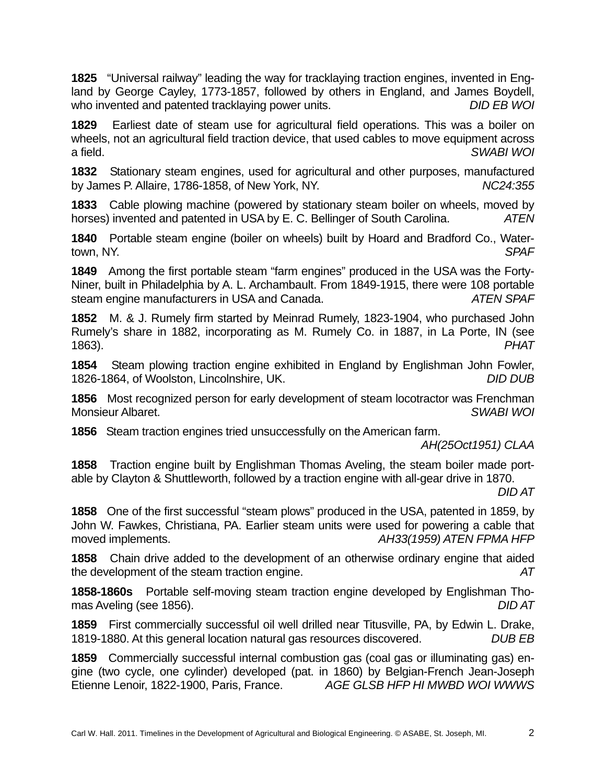**1825** "Universal railway" leading the way for tracklaying traction engines, invented in England by George Cayley, 1773-1857, followed by others in England, and James Boydell, who invented and patented tracklaying power units. *DID EB WOI* 

**1829** Earliest date of steam use for agricultural field operations. This was a boiler on wheels, not an agricultural field traction device, that used cables to move equipment across a field. *SWABI WOI*

**1832** Stationary steam engines, used for agricultural and other purposes, manufactured by James P. Allaire, 1786-1858, of New York, NY. *NC24:355* 

**1833** Cable plowing machine (powered by stationary steam boiler on wheels, moved by horses) invented and patented in USA by E. C. Bellinger of South Carolina. *ATEN*

**1840** Portable steam engine (boiler on wheels) built by Hoard and Bradford Co., Watertown, NY. *SPAF* 

**1849** Among the first portable steam "farm engines" produced in the USA was the Forty-Niner, built in Philadelphia by A. L. Archambault. From 1849-1915, there were 108 portable steam engine manufacturers in USA and Canada. *ATEN SPAF*

**1852** M. & J. Rumely firm started by Meinrad Rumely, 1823-1904, who purchased John Rumely's share in 1882, incorporating as M. Rumely Co. in 1887, in La Porte, IN (see 1863). *PHAT*

**1854** Steam plowing traction engine exhibited in England by Englishman John Fowler, 1826-1864, of Woolston, Lincolnshire, UK. *DID DUB*

**1856** Most recognized person for early development of steam locotractor was Frenchman Monsieur Albaret. *SWABI WOI* 

**1856** Steam traction engines tried unsuccessfully on the American farm.

*AH(25Oct1951) CLAA* 

**1858** Traction engine built by Englishman Thomas Aveling, the steam boiler made portable by Clayton & Shuttleworth, followed by a traction engine with all-gear drive in 1870.

*DID AT*

**1858** One of the first successful "steam plows" produced in the USA, patented in 1859, by John W. Fawkes, Christiana, PA. Earlier steam units were used for powering a cable that moved implements. *AH33(1959) ATEN FPMA HFP*

**1858** Chain drive added to the development of an otherwise ordinary engine that aided the development of the steam traction engine. *AT* 

**1858-1860s** Portable self-moving steam traction engine developed by Englishman Thomas Aveling (see 1856). *DID AT*

**1859** First commercially successful oil well drilled near Titusville, PA, by Edwin L. Drake, 1819-1880. At this general location natural gas resources discovered. *DUB EB* 

**1859** Commercially successful internal combustion gas (coal gas or illuminating gas) engine (two cycle, one cylinder) developed (pat. in 1860) by Belgian-French Jean-Joseph Etienne Lenoir, 1822-1900, Paris, France. *AGE GLSB HFP HI MWBD WOI WWWS*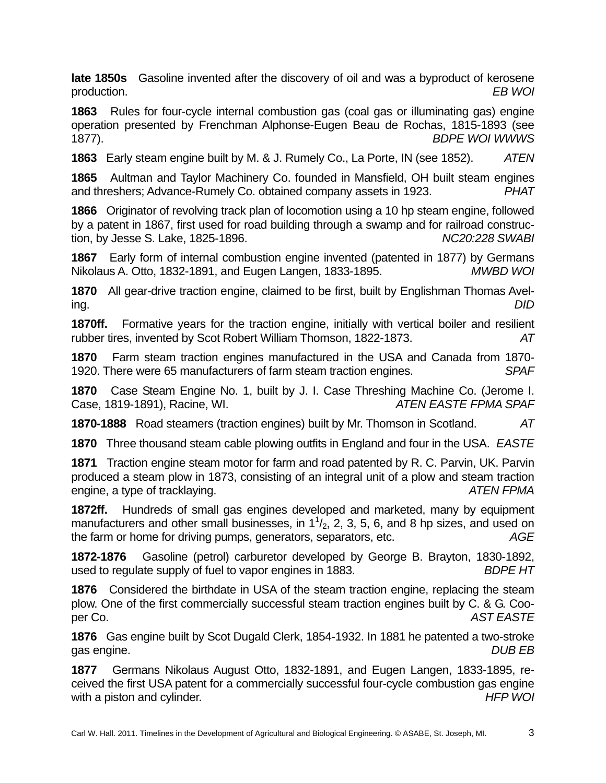**late 1850s** Gasoline invented after the discovery of oil and was a byproduct of kerosene production. *EB WOI* 

**1863** Rules for four-cycle internal combustion gas (coal gas or illuminating gas) engine operation presented by Frenchman Alphonse-Eugen Beau de Rochas, 1815-1893 (see 1877). *BDPE WOI WWWS*

**1863** Early steam engine built by M. & J. Rumely Co., La Porte, IN (see 1852). *ATEN*

**1865** Aultman and Taylor Machinery Co. founded in Mansfield, OH built steam engines and threshers; Advance-Rumely Co. obtained company assets in 1923. *PHAT* 

**1866** Originator of revolving track plan of locomotion using a 10 hp steam engine, followed by a patent in 1867, first used for road building through a swamp and for railroad construction, by Jesse S. Lake, 1825-1896. *NC20:228 SWABI* 

**1867** Early form of internal combustion engine invented (patented in 1877) by Germans Nikolaus A. Otto, 1832-1891, and Eugen Langen, 1833-1895. *MWBD WOI* 

**1870** All gear-drive traction engine, claimed to be first, built by Englishman Thomas Aveling. *DID* 

**1870ff.** Formative years for the traction engine, initially with vertical boiler and resilient rubber tires, invented by Scot Robert William Thomson, 1822-1873. *AT* 

**1870** Farm steam traction engines manufactured in the USA and Canada from 1870- 1920. There were 65 manufacturers of farm steam traction engines. *SPAF* 

**1870** Case Steam Engine No. 1, built by J. I. Case Threshing Machine Co. (Jerome I. Case, 1819-1891), Racine, WI. *ATEN EASTE FPMA SPAF*

**1870-1888** Road steamers (traction engines) built by Mr. Thomson in Scotland. *AT* 

**1870** Three thousand steam cable plowing outfits in England and four in the USA. *EASTE* 

**1871** Traction engine steam motor for farm and road patented by R. C. Parvin, UK. Parvin produced a steam plow in 1873, consisting of an integral unit of a plow and steam traction engine, a type of tracklaying. *ATEN FPMA* 

**1872ff.** Hundreds of small gas engines developed and marketed, many by equipment manufacturers and other small businesses, in  $1<sup>1</sup>/<sub>2</sub>$ , 2, 3, 5, 6, and 8 hp sizes, and used on the farm or home for driving pumps, generators, separators, etc. *AGE*

**1872-1876** Gasoline (petrol) carburetor developed by George B. Brayton, 1830-1892, used to regulate supply of fuel to vapor engines in 1883. *BDPE HT*

**1876** Considered the birthdate in USA of the steam traction engine, replacing the steam plow. One of the first commercially successful steam traction engines built by C. & G. Cooper Co. *AST EASTE* 

**1876** Gas engine built by Scot Dugald Clerk, 1854-1932. In 1881 he patented a two-stroke gas engine. *DUB EB*

**1877** Germans Nikolaus August Otto, 1832-1891, and Eugen Langen, 1833-1895, received the first USA patent for a commercially successful four-cycle combustion gas engine with a piston and cylinder. **HEP WOI** *HFP WOI*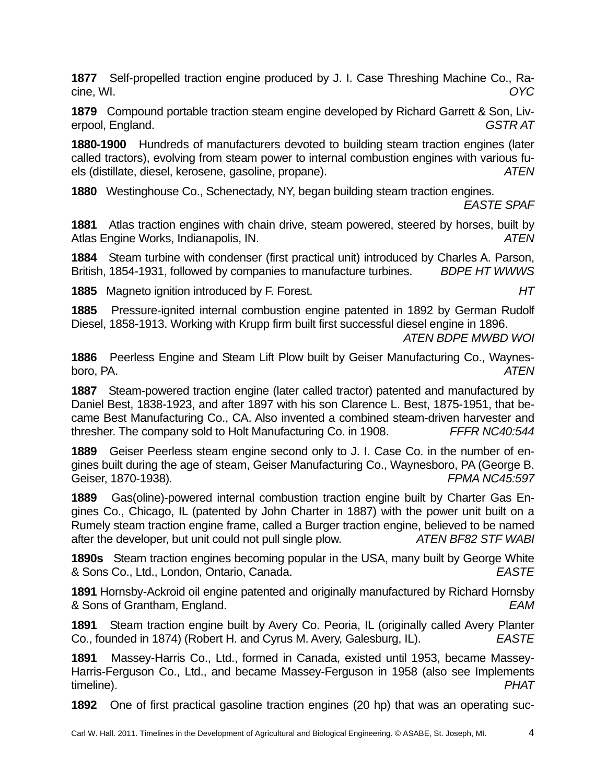**1877** Self-propelled traction engine produced by J. I. Case Threshing Machine Co., Racine, WI. *OYC* 

**1879** Compound portable traction steam engine developed by Richard Garrett & Son, Liverpool, England. *GSTR AT*

**1880-1900** Hundreds of manufacturers devoted to building steam traction engines (later called tractors), evolving from steam power to internal combustion engines with various fuels (distillate, diesel, kerosene, gasoline, propane). *ATEN*

**1880** Westinghouse Co., Schenectady, NY, began building steam traction engines.

*EASTE SPAF* 

**1881** Atlas traction engines with chain drive, steam powered, steered by horses, built by Atlas Engine Works, Indianapolis, IN. *ATEN* 

**1884** Steam turbine with condenser (first practical unit) introduced by Charles A. Parson, British, 1854-1931, followed by companies to manufacture turbines. *BDPE HT WWWS* 

**1885** Magneto ignition introduced by F. Forest. *HT* 

**1885** Pressure-ignited internal combustion engine patented in 1892 by German Rudolf Diesel, 1858-1913. Working with Krupp firm built first successful diesel engine in 1896.

*ATEN BDPE MWBD WOI* 

**1886** Peerless Engine and Steam Lift Plow built by Geiser Manufacturing Co., Waynesboro, PA. *ATEN* 

**1887** Steam-powered traction engine (later called tractor) patented and manufactured by Daniel Best, 1838-1923, and after 1897 with his son Clarence L. Best, 1875-1951, that became Best Manufacturing Co., CA. Also invented a combined steam-driven harvester and thresher. The company sold to Holt Manufacturing Co. in 1908. *FFFR NC40:544* 

**1889** Geiser Peerless steam engine second only to J. I. Case Co. in the number of engines built during the age of steam, Geiser Manufacturing Co., Waynesboro, PA (George B. Geiser, 1870-1938). *FPMA NC45:597* 

**1889** Gas(oline)-powered internal combustion traction engine built by Charter Gas Engines Co., Chicago, IL (patented by John Charter in 1887) with the power unit built on a Rumely steam traction engine frame, called a Burger traction engine, believed to be named after the developer, but unit could not pull single plow. *ATEN BF82 STF WABI* 

**1890s** Steam traction engines becoming popular in the USA, many built by George White & Sons Co., Ltd., London, Ontario, Canada. *EASTE* 

**1891** Hornsby-Ackroid oil engine patented and originally manufactured by Richard Hornsby & Sons of Grantham, England. *EAM* 

**1891** Steam traction engine built by Avery Co. Peoria, IL (originally called Avery Planter Co., founded in 1874) (Robert H. and Cyrus M. Avery, Galesburg, IL). *EASTE* 

**1891** Massey-Harris Co., Ltd., formed in Canada, existed until 1953, became Massey-Harris-Ferguson Co., Ltd., and became Massey-Ferguson in 1958 (also see Implements timeline). *PHAT* 

**1892** One of first practical gasoline traction engines (20 hp) that was an operating suc-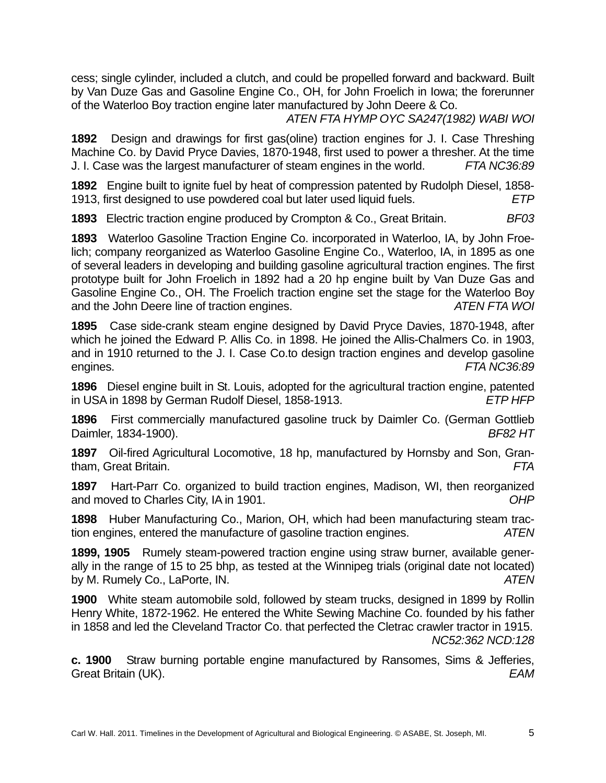cess; single cylinder, included a clutch, and could be propelled forward and backward. Built by Van Duze Gas and Gasoline Engine Co., OH, for John Froelich in Iowa; the forerunner of the Waterloo Boy traction engine later manufactured by John Deere & Co.

*ATEN FTA HYMP OYC SA247(1982) WABI WOI* 

**1892** Design and drawings for first gas(oline) traction engines for J. I. Case Threshing Machine Co. by David Pryce Davies, 1870-1948, first used to power a thresher. At the time J. I. Case was the largest manufacturer of steam engines in the world. *FTA NC36:89* 

**1892** Engine built to ignite fuel by heat of compression patented by Rudolph Diesel, 1858- 1913, first designed to use powdered coal but later used liquid fuels. *ETP* 

**1893** Electric traction engine produced by Crompton & Co., Great Britain. *BF03* 

**1893** Waterloo Gasoline Traction Engine Co. incorporated in Waterloo, IA, by John Froelich; company reorganized as Waterloo Gasoline Engine Co., Waterloo, IA, in 1895 as one of several leaders in developing and building gasoline agricultural traction engines. The first prototype built for John Froelich in 1892 had a 20 hp engine built by Van Duze Gas and Gasoline Engine Co., OH. The Froelich traction engine set the stage for the Waterloo Boy and the John Deere line of traction engines. *ATEN FTA WOI* 

**1895** Case side-crank steam engine designed by David Pryce Davies, 1870-1948, after which he joined the Edward P. Allis Co. in 1898. He joined the Allis-Chalmers Co. in 1903, and in 1910 returned to the J. I. Case Co.to design traction engines and develop gasoline engines. *FTA NC36:89* 

**1896** Diesel engine built in St. Louis, adopted for the agricultural traction engine, patented in USA in 1898 by German Rudolf Diesel, 1858-1913. *ETP HFP* 

**1896** First commercially manufactured gasoline truck by Daimler Co. (German Gottlieb Daimler, 1834-1900). *BF82 HT* 

**1897** Oil-fired Agricultural Locomotive, 18 hp, manufactured by Hornsby and Son, Grantham, Great Britain. *FTA* 

**1897** Hart-Parr Co. organized to build traction engines, Madison, WI, then reorganized and moved to Charles City, IA in 1901. *OHP* 

**1898** Huber Manufacturing Co., Marion, OH, which had been manufacturing steam traction engines, entered the manufacture of gasoline traction engines. *ATEN* 

**1899, 1905** Rumely steam-powered traction engine using straw burner, available generally in the range of 15 to 25 bhp, as tested at the Winnipeg trials (original date not located) by M. Rumely Co., LaPorte, IN. *ATEN* 

**1900** White steam automobile sold, followed by steam trucks, designed in 1899 by Rollin Henry White, 1872-1962. He entered the White Sewing Machine Co. founded by his father in 1858 and led the Cleveland Tractor Co. that perfected the Cletrac crawler tractor in 1915. *NC52:362 NCD:128*

**c. 1900** Straw burning portable engine manufactured by Ransomes, Sims & Jefferies, Great Britain (UK). *EAM*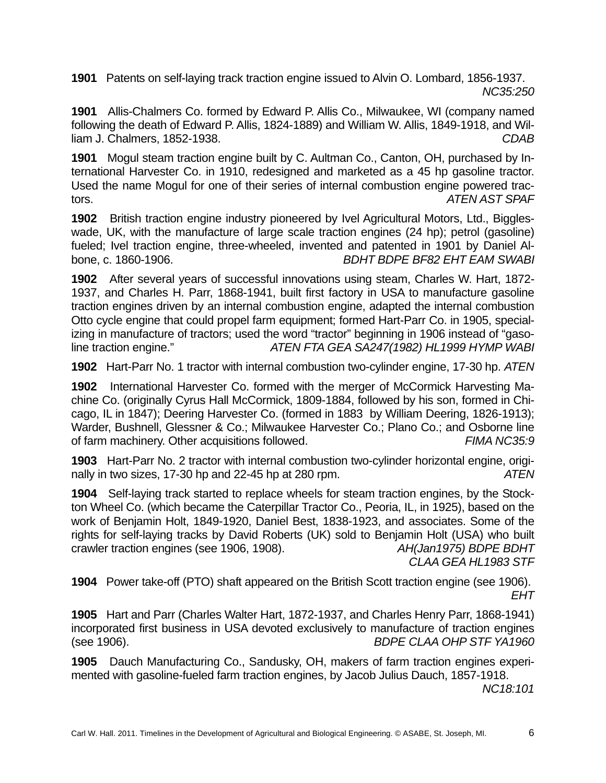**1901** Patents on self-laying track traction engine issued to Alvin O. Lombard, 1856-1937. *NC35:250* 

**1901** Allis-Chalmers Co. formed by Edward P. Allis Co., Milwaukee, WI (company named following the death of Edward P. Allis, 1824-1889) and William W. Allis, 1849-1918, and William J. Chalmers, 1852-1938. *CDAB* 

**1901** Mogul steam traction engine built by C. Aultman Co., Canton, OH, purchased by International Harvester Co. in 1910, redesigned and marketed as a 45 hp gasoline tractor. Used the name Mogul for one of their series of internal combustion engine powered tractors. *ATEN AST SPAF*

**1902** British traction engine industry pioneered by Ivel Agricultural Motors, Ltd., Biggleswade, UK, with the manufacture of large scale traction engines (24 hp); petrol (gasoline) fueled; Ivel traction engine, three-wheeled, invented and patented in 1901 by Daniel Albone, c. 1860-1906. *BDHT BDPE BF82 EHT EAM SWABI* 

**1902** After several years of successful innovations using steam, Charles W. Hart, 1872- 1937, and Charles H. Parr, 1868-1941, built first factory in USA to manufacture gasoline traction engines driven by an internal combustion engine, adapted the internal combustion Otto cycle engine that could propel farm equipment; formed Hart-Parr Co. in 1905, specializing in manufacture of tractors; used the word "tractor" beginning in 1906 instead of "gasoline traction engine." *ATEN FTA GEA SA247(1982) HL1999 HYMP WABI* 

**1902** Hart-Parr No. 1 tractor with internal combustion two-cylinder engine, 17-30 hp. *ATEN* 

**1902** International Harvester Co. formed with the merger of McCormick Harvesting Machine Co. (originally Cyrus Hall McCormick, 1809-1884, followed by his son, formed in Chicago, IL in 1847); Deering Harvester Co. (formed in 1883 by William Deering, 1826-1913); Warder, Bushnell, Glessner & Co.; Milwaukee Harvester Co.; Plano Co.; and Osborne line of farm machinery. Other acquisitions followed. *FIMA NC35:9* 

**1903** Hart-Parr No. 2 tractor with internal combustion two-cylinder horizontal engine, originally in two sizes, 17-30 hp and 22-45 hp at 280 rpm. *ATEN* 

**1904** Self-laying track started to replace wheels for steam traction engines, by the Stockton Wheel Co. (which became the Caterpillar Tractor Co., Peoria, IL, in 1925), based on the work of Benjamin Holt, 1849-1920, Daniel Best, 1838-1923, and associates. Some of the rights for self-laying tracks by David Roberts (UK) sold to Benjamin Holt (USA) who built crawler traction engines (see 1906, 1908). *AH(Jan1975) BDPE BDHT CLAA GEA HL1983 STF* 

**1904** Power take-off (PTO) shaft appeared on the British Scott traction engine (see 1906).

*EHT* 

**1905** Hart and Parr (Charles Walter Hart, 1872-1937, and Charles Henry Parr, 1868-1941) incorporated first business in USA devoted exclusively to manufacture of traction engines (see 1906). *BDPE CLAA OHP STF YA1960*

**1905** Dauch Manufacturing Co., Sandusky, OH, makers of farm traction engines experimented with gasoline-fueled farm traction engines, by Jacob Julius Dauch, 1857-1918.

*NC18:101*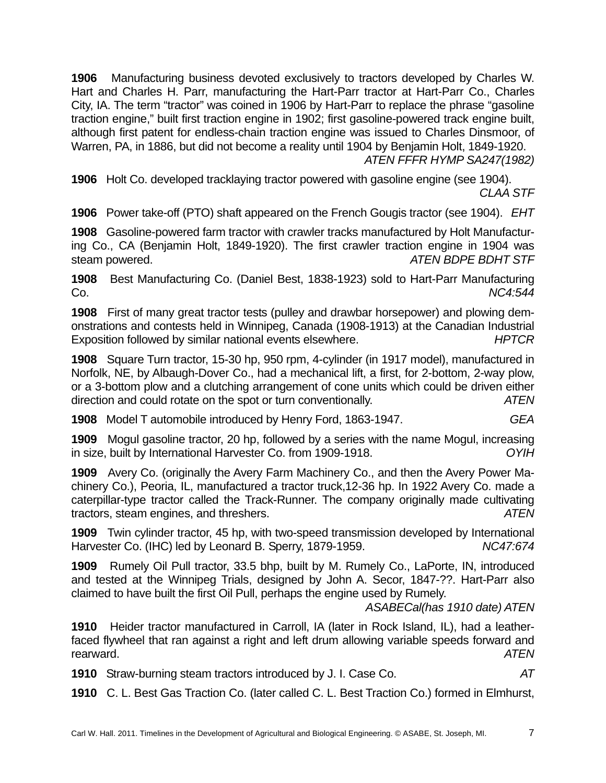**1906** Manufacturing business devoted exclusively to tractors developed by Charles W. Hart and Charles H. Parr, manufacturing the Hart-Parr tractor at Hart-Parr Co., Charles City, IA. The term "tractor" was coined in 1906 by Hart-Parr to replace the phrase "gasoline traction engine," built first traction engine in 1902; first gasoline-powered track engine built, although first patent for endless-chain traction engine was issued to Charles Dinsmoor, of Warren, PA, in 1886, but did not become a reality until 1904 by Benjamin Holt, 1849-1920.

*ATEN FFFR HYMP SA247(1982)*

**1906** Holt Co. developed tracklaying tractor powered with gasoline engine (see 1904). *CLAA STF* 

**1906** Power take-off (PTO) shaft appeared on the French Gougis tractor (see 1904). *EHT* 

**1908** Gasoline-powered farm tractor with crawler tracks manufactured by Holt Manufacturing Co., CA (Benjamin Holt, 1849-1920). The first crawler traction engine in 1904 was steam powered. *ATEN BDPE BDHT STF* 

**1908** Best Manufacturing Co. (Daniel Best, 1838-1923) sold to Hart-Parr Manufacturing Co. *NC4:544* 

**1908** First of many great tractor tests (pulley and drawbar horsepower) and plowing demonstrations and contests held in Winnipeg, Canada (1908-1913) at the Canadian Industrial Exposition followed by similar national events elsewhere. *HPTCR* 

**1908** Square Turn tractor, 15-30 hp, 950 rpm, 4-cylinder (in 1917 model), manufactured in Norfolk, NE, by Albaugh-Dover Co., had a mechanical lift, a first, for 2-bottom, 2-way plow, or a 3-bottom plow and a clutching arrangement of cone units which could be driven either direction and could rotate on the spot or turn conventionally. *ATEN* 

**1908** Model T automobile introduced by Henry Ford, 1863-1947. *GEA* 

**1909** Mogul gasoline tractor, 20 hp, followed by a series with the name Mogul, increasing in size, built by International Harvester Co. from 1909-1918. *OYIH* 

**1909** Avery Co. (originally the Avery Farm Machinery Co., and then the Avery Power Machinery Co.), Peoria, IL, manufactured a tractor truck,12-36 hp. In 1922 Avery Co. made a caterpillar-type tractor called the Track-Runner. The company originally made cultivating tractors, steam engines, and threshers. *ATEN* 

**1909** Twin cylinder tractor, 45 hp, with two-speed transmission developed by International Harvester Co. (IHC) led by Leonard B. Sperry, 1879-1959. *NC47:674* 

**1909** Rumely Oil Pull tractor, 33.5 bhp, built by M. Rumely Co., LaPorte, IN, introduced and tested at the Winnipeg Trials, designed by John A. Secor, 1847-??. Hart-Parr also claimed to have built the first Oil Pull, perhaps the engine used by Rumely.

*ASABECal(has 1910 date) ATEN* 

**1910** Heider tractor manufactured in Carroll, IA (later in Rock Island, IL), had a leatherfaced flywheel that ran against a right and left drum allowing variable speeds forward and rearward. *ATEN* 

**1910** Straw-burning steam tractors introduced by J. I. Case Co. *AT* 

**1910** C. L. Best Gas Traction Co. (later called C. L. Best Traction Co.) formed in Elmhurst,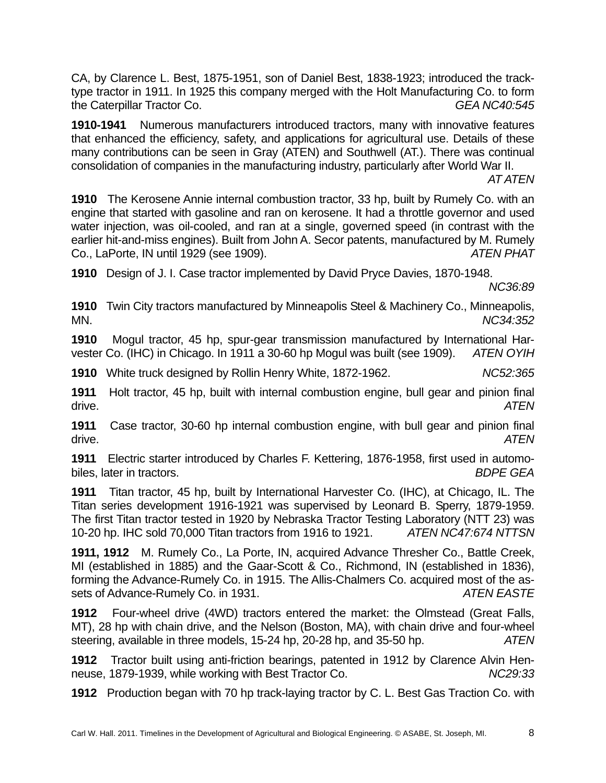CA, by Clarence L. Best, 1875-1951, son of Daniel Best, 1838-1923; introduced the tracktype tractor in 1911. In 1925 this company merged with the Holt Manufacturing Co. to form the Caterpillar Tractor Co. *GEA NC40:545* 

**1910-1941** Numerous manufacturers introduced tractors, many with innovative features that enhanced the efficiency, safety, and applications for agricultural use. Details of these many contributions can be seen in Gray (ATEN) and Southwell (AT.). There was continual consolidation of companies in the manufacturing industry, particularly after World War II.

*AT ATEN*

**1910** The Kerosene Annie internal combustion tractor, 33 hp, built by Rumely Co. with an engine that started with gasoline and ran on kerosene. It had a throttle governor and used water injection, was oil-cooled, and ran at a single, governed speed (in contrast with the earlier hit-and-miss engines). Built from John A. Secor patents, manufactured by M. Rumely Co., LaPorte, IN until 1929 (see 1909). *ATEN PHAT*

**1910** Design of J. I. Case tractor implemented by David Pryce Davies, 1870-1948.

*NC36:89* 

**1910** Twin City tractors manufactured by Minneapolis Steel & Machinery Co., Minneapolis, MN. *NC34:352*

**1910** Mogul tractor, 45 hp, spur-gear transmission manufactured by International Harvester Co. (IHC) in Chicago. In 1911 a 30-60 hp Mogul was built (see 1909). *ATEN OYIH* 

**1910** White truck designed by Rollin Henry White, 1872-1962. *NC52:365* 

**1911** Holt tractor, 45 hp, built with internal combustion engine, bull gear and pinion final drive. *ATEN* 

**1911** Case tractor, 30-60 hp internal combustion engine, with bull gear and pinion final drive. *ATEN*

**1911** Electric starter introduced by Charles F. Kettering, 1876-1958, first used in automobiles, later in tractors. *BDPE GEA* 

**1911** Titan tractor, 45 hp, built by International Harvester Co. (IHC), at Chicago, IL. The Titan series development 1916-1921 was supervised by Leonard B. Sperry, 1879-1959. The first Titan tractor tested in 1920 by Nebraska Tractor Testing Laboratory (NTT 23) was 10-20 hp. IHC sold 70,000 Titan tractors from 1916 to 1921. *ATEN NC47:674 NTTSN* 

**1911, 1912** M. Rumely Co., La Porte, IN, acquired Advance Thresher Co., Battle Creek, MI (established in 1885) and the Gaar-Scott & Co., Richmond, IN (established in 1836), forming the Advance-Rumely Co. in 1915. The Allis-Chalmers Co. acquired most of the assets of Advance-Rumely Co. in 1931. *ATEN EASTE*

**1912** Four-wheel drive (4WD) tractors entered the market: the Olmstead (Great Falls, MT), 28 hp with chain drive, and the Nelson (Boston, MA), with chain drive and four-wheel steering, available in three models, 15-24 hp, 20-28 hp, and 35-50 hp. *ATEN* 

**1912** Tractor built using anti-friction bearings, patented in 1912 by Clarence Alvin Henneuse, 1879-1939, while working with Best Tractor Co. *NC29:33*

**1912** Production began with 70 hp track-laying tractor by C. L. Best Gas Traction Co. with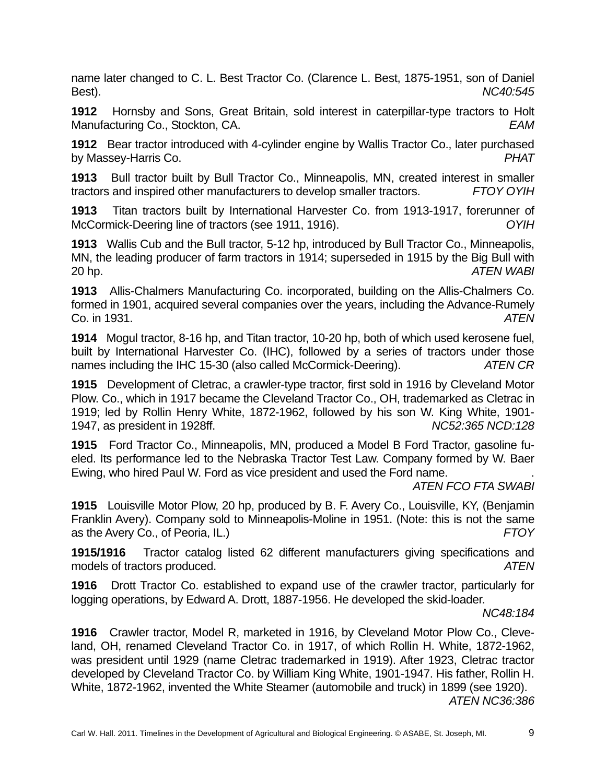name later changed to C. L. Best Tractor Co. (Clarence L. Best, 1875-1951, son of Daniel Best). *NC40:545* 

**1912** Hornsby and Sons, Great Britain, sold interest in caterpillar-type tractors to Holt Manufacturing Co., Stockton, CA. *EAM* 

**1912** Bear tractor introduced with 4-cylinder engine by Wallis Tractor Co., later purchased by Massey-Harris Co. *PHAT* 

**1913** Bull tractor built by Bull Tractor Co., Minneapolis, MN, created interest in smaller tractors and inspired other manufacturers to develop smaller tractors. *FTOY OYIH* 

**1913** Titan tractors built by International Harvester Co. from 1913-1917, forerunner of McCormick-Deering line of tractors (see 1911, 1916). *OYIH* 

**1913** Wallis Cub and the Bull tractor, 5-12 hp, introduced by Bull Tractor Co., Minneapolis, MN, the leading producer of farm tractors in 1914; superseded in 1915 by the Big Bull with 20 hp. *ATEN WABI* 

**1913** Allis-Chalmers Manufacturing Co. incorporated, building on the Allis-Chalmers Co. formed in 1901, acquired several companies over the years, including the Advance-Rumely Co. in 1931. *ATEN* 

**1914** Mogul tractor, 8-16 hp, and Titan tractor, 10-20 hp, both of which used kerosene fuel, built by International Harvester Co. (IHC), followed by a series of tractors under those names including the IHC 15-30 (also called McCormick-Deering). *ATEN CR* 

**1915** Development of Cletrac, a crawler-type tractor, first sold in 1916 by Cleveland Motor Plow. Co., which in 1917 became the Cleveland Tractor Co., OH, trademarked as Cletrac in 1919; led by Rollin Henry White, 1872-1962, followed by his son W. King White, 1901- 1947, as president in 1928ff. *NC52:365 NCD:128*

**1915** Ford Tractor Co., Minneapolis, MN, produced a Model B Ford Tractor, gasoline fueled. Its performance led to the Nebraska Tractor Test Law. Company formed by W. Baer Ewing, who hired Paul W. Ford as vice president and used the Ford name. .

*ATEN FCO FTA SWABI* 

**1915** Louisville Motor Plow, 20 hp, produced by B. F. Avery Co., Louisville, KY, (Benjamin Franklin Avery). Company sold to Minneapolis-Moline in 1951. (Note: this is not the same as the Avery Co., of Peoria, IL.) *FTOY*

**1915/1916** Tractor catalog listed 62 different manufacturers giving specifications and models of tractors produced. *ATEN*

**1916** Drott Tractor Co. established to expand use of the crawler tractor, particularly for logging operations, by Edward A. Drott, 1887-1956. He developed the skid-loader.

*NC48:184* 

**1916** Crawler tractor, Model R, marketed in 1916, by Cleveland Motor Plow Co., Cleveland, OH, renamed Cleveland Tractor Co. in 1917, of which Rollin H. White, 1872-1962, was president until 1929 (name Cletrac trademarked in 1919). After 1923, Cletrac tractor developed by Cleveland Tractor Co. by William King White, 1901-1947. His father, Rollin H. White, 1872-1962, invented the White Steamer (automobile and truck) in 1899 (see 1920).

*ATEN NC36:386*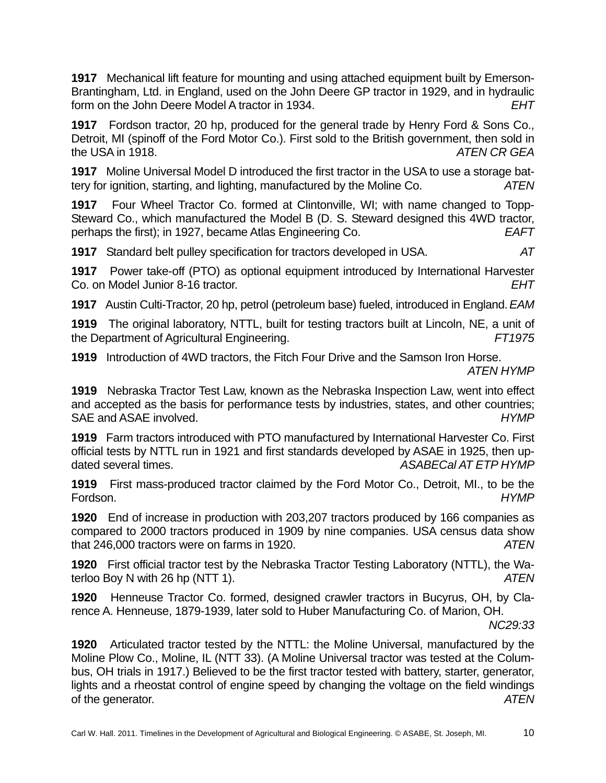**1917** Mechanical lift feature for mounting and using attached equipment built by Emerson-Brantingham, Ltd. in England, used on the John Deere GP tractor in 1929, and in hydraulic form on the John Deere Model A tractor in 1934. *EHT*

**1917** Fordson tractor, 20 hp, produced for the general trade by Henry Ford & Sons Co., Detroit, MI (spinoff of the Ford Motor Co.). First sold to the British government, then sold in the USA in 1918. *ATEN CR GEA*

**1917** Moline Universal Model D introduced the first tractor in the USA to use a storage battery for ignition, starting, and lighting, manufactured by the Moline Co. *ATEN* 

**1917** Four Wheel Tractor Co. formed at Clintonville, WI; with name changed to Topp-Steward Co., which manufactured the Model B (D. S. Steward designed this 4WD tractor, perhaps the first); in 1927, became Atlas Engineering Co. *EAFT* 

**1917** Standard belt pulley specification for tractors developed in USA. *AT* 

**1917** Power take-off (PTO) as optional equipment introduced by International Harvester Co. on Model Junior 8-16 tractor. *EHT* 

**1917** Austin Culti-Tractor, 20 hp, petrol (petroleum base) fueled, introduced in England. *EAM*

**1919** The original laboratory, NTTL, built for testing tractors built at Lincoln, NE, a unit of the Department of Agricultural Engineering. *FT1975* 

**1919** Introduction of 4WD tractors, the Fitch Four Drive and the Samson Iron Horse. *ATEN HYMP* 

**1919** Nebraska Tractor Test Law, known as the Nebraska Inspection Law, went into effect and accepted as the basis for performance tests by industries, states, and other countries; SAE and ASAE involved. *HYMP* 

**1919** Farm tractors introduced with PTO manufactured by International Harvester Co. First official tests by NTTL run in 1921 and first standards developed by ASAE in 1925, then updated several times. *ASABECal AT ETP HYMP* 

**1919** First mass-produced tractor claimed by the Ford Motor Co., Detroit, MI., to be the Fordson. *HYMP* 

**1920** End of increase in production with 203,207 tractors produced by 166 companies as compared to 2000 tractors produced in 1909 by nine companies. USA census data show that 246,000 tractors were on farms in 1920. *ATEN* 

**1920** First official tractor test by the Nebraska Tractor Testing Laboratory (NTTL), the Waterloo Boy N with 26 hp (NTT 1). *ATEN*

**1920** Henneuse Tractor Co. formed, designed crawler tractors in Bucyrus, OH, by Clarence A. Henneuse, 1879-1939, later sold to Huber Manufacturing Co. of Marion, OH.

*NC29:33* 

**1920** Articulated tractor tested by the NTTL: the Moline Universal, manufactured by the Moline Plow Co., Moline, IL (NTT 33). (A Moline Universal tractor was tested at the Columbus, OH trials in 1917.) Believed to be the first tractor tested with battery, starter, generator, lights and a rheostat control of engine speed by changing the voltage on the field windings of the generator. *ATEN*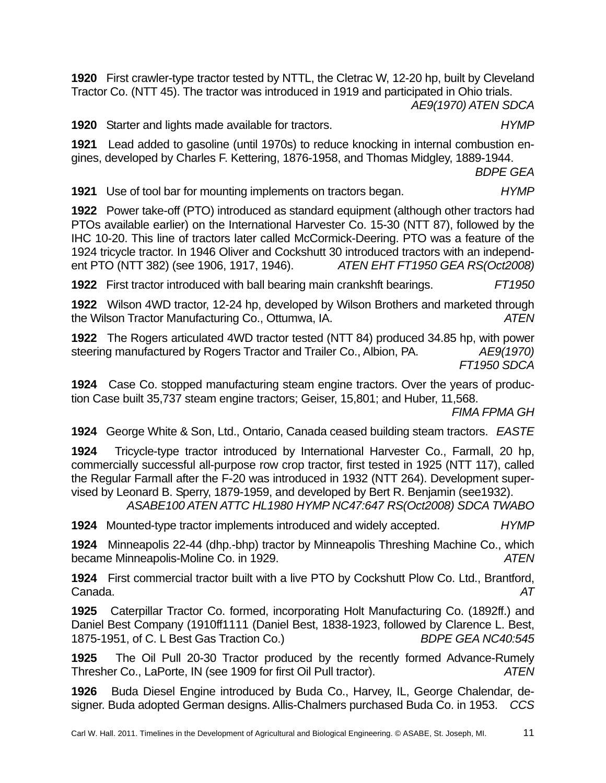**1920** First crawler-type tractor tested by NTTL, the Cletrac W, 12-20 hp, built by Cleveland Tractor Co. (NTT 45). The tractor was introduced in 1919 and participated in Ohio trials.

*AE9(1970) ATEN SDCA* 

**1920** Starter and lights made available for tractors. *HYMP* 

**1921** Lead added to gasoline (until 1970s) to reduce knocking in internal combustion engines, developed by Charles F. Kettering, 1876-1958, and Thomas Midgley, 1889-1944.

*BDPE GEA*

**1921** Use of tool bar for mounting implements on tractors began. *HYMP* 

**1922** Power take-off (PTO) introduced as standard equipment (although other tractors had PTOs available earlier) on the International Harvester Co. 15-30 (NTT 87), followed by the IHC 10-20. This line of tractors later called McCormick-Deering. PTO was a feature of the 1924 tricycle tractor. In 1946 Oliver and Cockshutt 30 introduced tractors with an independent PTO (NTT 382) (see 1906, 1917, 1946). *ATEN EHT FT1950 GEA RS(Oct2008)*

**1922** First tractor introduced with ball bearing main crankshft bearings. *FT1950* 

**1922** Wilson 4WD tractor, 12-24 hp, developed by Wilson Brothers and marketed through the Wilson Tractor Manufacturing Co., Ottumwa, IA. *ATEN* 

**1922** The Rogers articulated 4WD tractor tested (NTT 84) produced 34.85 hp, with power steering manufactured by Rogers Tractor and Trailer Co., Albion, PA. *AE9(1970) FT1950 SDCA* 

**1924** Case Co. stopped manufacturing steam engine tractors. Over the years of production Case built 35,737 steam engine tractors; Geiser, 15,801; and Huber, 11,568.

*FIMA FPMA GH* 

**1924** George White & Son, Ltd., Ontario, Canada ceased building steam tractors. *EASTE* 

**1924** Tricycle-type tractor introduced by International Harvester Co., Farmall, 20 hp, commercially successful all-purpose row crop tractor, first tested in 1925 (NTT 117), called the Regular Farmall after the F-20 was introduced in 1932 (NTT 264). Development supervised by Leonard B. Sperry, 1879-1959, and developed by Bert R. Benjamin (see1932).

*ASABE100 ATEN ATTC HL1980 HYMP NC47:647 RS(Oct2008) SDCA TWABO*

**1924** Mounted-type tractor implements introduced and widely accepted. *HYMP* 

**1924** Minneapolis 22-44 (dhp.-bhp) tractor by Minneapolis Threshing Machine Co., which became Minneapolis-Moline Co. in 1929. *ATEN* 

**1924** First commercial tractor built with a live PTO by Cockshutt Plow Co. Ltd., Brantford, Canada. *AT* 

**1925** Caterpillar Tractor Co. formed, incorporating Holt Manufacturing Co. (1892ff.) and Daniel Best Company (1910ff1111 (Daniel Best, 1838-1923, followed by Clarence L. Best, 1875-1951, of C. L Best Gas Traction Co.) *BDPE GEA NC40:545* 

**1925** The Oil Pull 20-30 Tractor produced by the recently formed Advance-Rumely Thresher Co., LaPorte, IN (see 1909 for first Oil Pull tractor). *ATEN* 

**1926** Buda Diesel Engine introduced by Buda Co., Harvey, IL, George Chalendar, designer. Buda adopted German designs. Allis-Chalmers purchased Buda Co. in 1953. *CCS*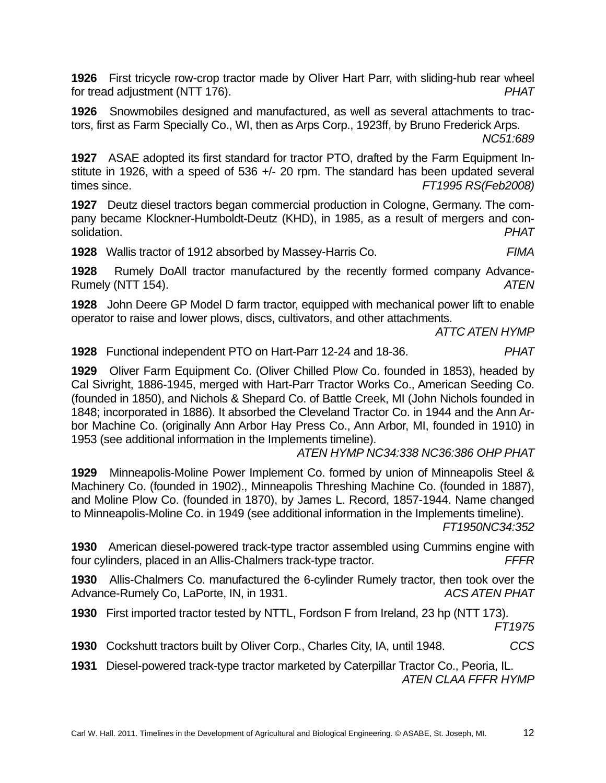**1926** First tricycle row-crop tractor made by Oliver Hart Parr, with sliding-hub rear wheel for tread adjustment (NTT 176). *PHAT*

**1926** Snowmobiles designed and manufactured, as well as several attachments to tractors, first as Farm Specially Co., WI, then as Arps Corp., 1923ff, by Bruno Frederick Arps.

*NC51:689*

**1927** ASAE adopted its first standard for tractor PTO, drafted by the Farm Equipment Institute in 1926, with a speed of 536 +/- 20 rpm. The standard has been updated several times since. *FT1995 RS(Feb2008)* 

**1927** Deutz diesel tractors began commercial production in Cologne, Germany. The company became Klockner-Humboldt-Deutz (KHD), in 1985, as a result of mergers and consolidation. *PHAT* 

**1928** Wallis tractor of 1912 absorbed by Massey-Harris Co. *FIMA*

**1928** Rumely DoAll tractor manufactured by the recently formed company Advance-Rumely (NTT 154). *ATEN* 

**1928** John Deere GP Model D farm tractor, equipped with mechanical power lift to enable operator to raise and lower plows, discs, cultivators, and other attachments.

*ATTC ATEN HYMP* 

**1928** Functional independent PTO on Hart-Parr 12-24 and 18-36. *PHAT*

**1929** Oliver Farm Equipment Co. (Oliver Chilled Plow Co. founded in 1853), headed by Cal Sivright, 1886-1945, merged with Hart-Parr Tractor Works Co., American Seeding Co. (founded in 1850), and Nichols & Shepard Co. of Battle Creek, MI (John Nichols founded in 1848; incorporated in 1886). It absorbed the Cleveland Tractor Co. in 1944 and the Ann Arbor Machine Co. (originally Ann Arbor Hay Press Co., Ann Arbor, MI, founded in 1910) in 1953 (see additional information in the Implements timeline).

*ATEN HYMP NC34:338 NC36:386 OHP PHAT*

**1929** Minneapolis-Moline Power Implement Co. formed by union of Minneapolis Steel & Machinery Co. (founded in 1902)., Minneapolis Threshing Machine Co. (founded in 1887), and Moline Plow Co. (founded in 1870), by James L. Record, 1857-1944. Name changed to Minneapolis-Moline Co. in 1949 (see additional information in the Implements timeline).

*FT1950NC34:352* 

**1930** American diesel-powered track-type tractor assembled using Cummins engine with four cylinders, placed in an Allis-Chalmers track-type tractor. *FFFR* 

**1930** Allis-Chalmers Co. manufactured the 6-cylinder Rumely tractor, then took over the Advance-Rumely Co, LaPorte, IN, in 1931. *ACS ATEN PHAT* 

**1930** First imported tractor tested by NTTL, Fordson F from Ireland, 23 hp (NTT 173).

*FT1975* 

**1930** Cockshutt tractors built by Oliver Corp., Charles City, IA, until 1948. *CCS* 

**1931** Diesel-powered track-type tractor marketed by Caterpillar Tractor Co., Peoria, IL. *ATEN CLAA FFFR HYMP*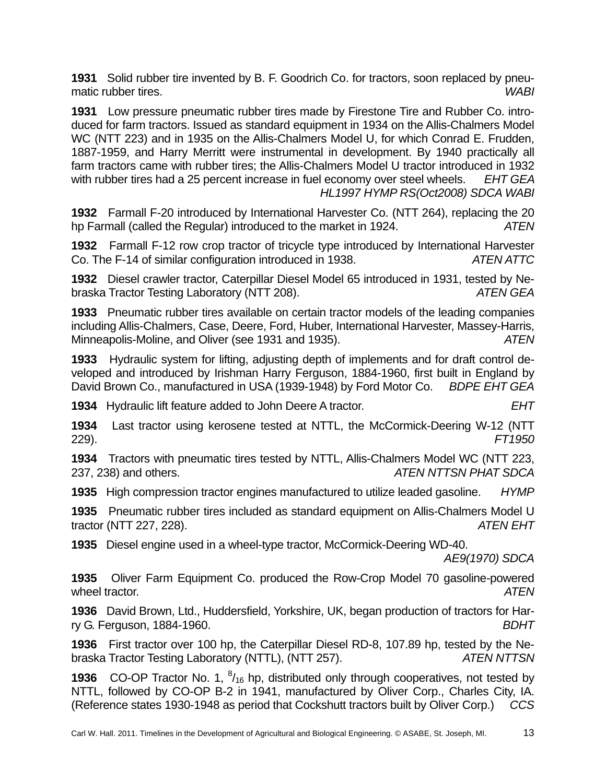**1931** Solid rubber tire invented by B. F. Goodrich Co. for tractors, soon replaced by pneumatic rubber tires. *WABI* 

**1931** Low pressure pneumatic rubber tires made by Firestone Tire and Rubber Co. introduced for farm tractors. Issued as standard equipment in 1934 on the Allis-Chalmers Model WC (NTT 223) and in 1935 on the Allis-Chalmers Model U, for which Conrad E. Frudden, 1887-1959, and Harry Merritt were instrumental in development. By 1940 practically all farm tractors came with rubber tires; the Allis-Chalmers Model U tractor introduced in 1932 with rubber tires had a 25 percent increase in fuel economy over steel wheels. *EHT GEA HL1997 HYMP RS(Oct2008) SDCA WABI* 

**1932** Farmall F-20 introduced by International Harvester Co. (NTT 264), replacing the 20 hp Farmall (called the Regular) introduced to the market in 1924. *ATEN* 

**1932** Farmall F-12 row crop tractor of tricycle type introduced by International Harvester Co. The F-14 of similar configuration introduced in 1938. *ATEN ATTC* 

**1932** Diesel crawler tractor, Caterpillar Diesel Model 65 introduced in 1931, tested by Nebraska Tractor Testing Laboratory (NTT 208). *ATEN GEA* 

**1933** Pneumatic rubber tires available on certain tractor models of the leading companies including Allis-Chalmers, Case, Deere, Ford, Huber, International Harvester, Massey-Harris, Minneapolis-Moline, and Oliver (see 1931 and 1935). *ATEN* 

**1933** Hydraulic system for lifting, adjusting depth of implements and for draft control developed and introduced by Irishman Harry Ferguson, 1884-1960, first built in England by David Brown Co., manufactured in USA (1939-1948) by Ford Motor Co. *BDPE EHT GEA* 

**1934** Hydraulic lift feature added to John Deere A tractor. *EHT* 

**1934** Last tractor using kerosene tested at NTTL, the McCormick-Deering W-12 (NTT 229). *FT1950*

**1934** Tractors with pneumatic tires tested by NTTL, Allis-Chalmers Model WC (NTT 223, 237, 238) and others. *ATEN NTTSN PHAT SDCA* 

**1935** High compression tractor engines manufactured to utilize leaded gasoline. *HYMP* 

**1935** Pneumatic rubber tires included as standard equipment on Allis-Chalmers Model U tractor (NTT 227, 228). *ATEN EHT* 

**1935** Diesel engine used in a wheel-type tractor, McCormick-Deering WD-40.

*AE9(1970) SDCA* 

**1935** Oliver Farm Equipment Co. produced the Row-Crop Model 70 gasoline-powered wheel tractor. *ATEN* 

**1936** David Brown, Ltd., Huddersfield, Yorkshire, UK, began production of tractors for Harry G. Ferguson, 1884-1960. *BDHT* 

**1936** First tractor over 100 hp, the Caterpillar Diesel RD-8, 107.89 hp, tested by the Nebraska Tractor Testing Laboratory (NTTL), (NTT 257). *ATEN NTTSN* 

**1936** CO-OP Tractor No. 1, <sup>8</sup>/<sub>16</sub> hp, distributed only through cooperatives, not tested by NTTL, followed by CO-OP B-2 in 1941, manufactured by Oliver Corp., Charles City, IA. (Reference states 1930-1948 as period that Cockshutt tractors built by Oliver Corp.) *CCS*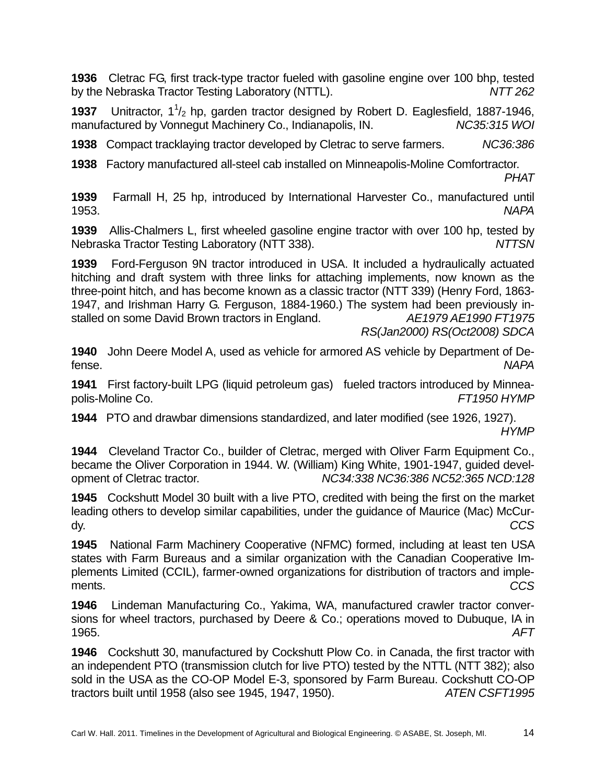**1936** Cletrac FG, first track-type tractor fueled with gasoline engine over 100 bhp, tested by the Nebraska Tractor Testing Laboratory (NTTL). *NTT 262*

**1937** Unitractor, 1<sup>1</sup>/<sub>2</sub> hp, garden tractor designed by Robert D. Eaglesfield, 1887-1946, manufactured by Vonnegut Machinery Co., Indianapolis, IN. *NC35:315 WOI* 

**1938** Compact tracklaying tractor developed by Cletrac to serve farmers. *NC36:386* 

**1938** Factory manufactured all-steel cab installed on Minneapolis-Moline Comfortractor. *PHAT* 

**1939** Farmall H, 25 hp, introduced by International Harvester Co., manufactured until 1953. *NAPA*

**1939** Allis-Chalmers L, first wheeled gasoline engine tractor with over 100 hp, tested by Nebraska Tractor Testing Laboratory (NTT 338). *NTTSN* 

**1939** Ford-Ferguson 9N tractor introduced in USA. It included a hydraulically actuated hitching and draft system with three links for attaching implements, now known as the three-point hitch, and has become known as a classic tractor (NTT 339) (Henry Ford, 1863- 1947, and Irishman Harry G. Ferguson, 1884-1960.) The system had been previously installed on some David Brown tractors in England. *AE1979 AE1990 FT1975* 

 *RS(Jan2000) RS(Oct2008) SDCA*

**1940** John Deere Model A, used as vehicle for armored AS vehicle by Department of Defense. *NAPA*

**1941** First factory-built LPG (liquid petroleum gas) fueled tractors introduced by Minneapolis-Moline Co. *FT1950 HYMP*

**1944** PTO and drawbar dimensions standardized, and later modified (see 1926, 1927). *HYMP* 

**1944** Cleveland Tractor Co., builder of Cletrac, merged with Oliver Farm Equipment Co., became the Oliver Corporation in 1944. W. (William) King White, 1901-1947, guided development of Cletrac tractor. *NC34:338 NC36:386 NC52:365 NCD:128*

**1945** Cockshutt Model 30 built with a live PTO, credited with being the first on the market leading others to develop similar capabilities, under the guidance of Maurice (Mac) McCurdy. *CCS*

**1945** National Farm Machinery Cooperative (NFMC) formed, including at least ten USA states with Farm Bureaus and a similar organization with the Canadian Cooperative Implements Limited (CCIL), farmer-owned organizations for distribution of tractors and implements. *CCS* 

**1946** Lindeman Manufacturing Co., Yakima, WA, manufactured crawler tractor conversions for wheel tractors, purchased by Deere & Co.; operations moved to Dubuque, IA in 1965. *AFT* 

**1946** Cockshutt 30, manufactured by Cockshutt Plow Co. in Canada, the first tractor with an independent PTO (transmission clutch for live PTO) tested by the NTTL (NTT 382); also sold in the USA as the CO-OP Model E-3, sponsored by Farm Bureau. Cockshutt CO-OP tractors built until 1958 (also see 1945, 1947, 1950). *ATEN CSFT1995*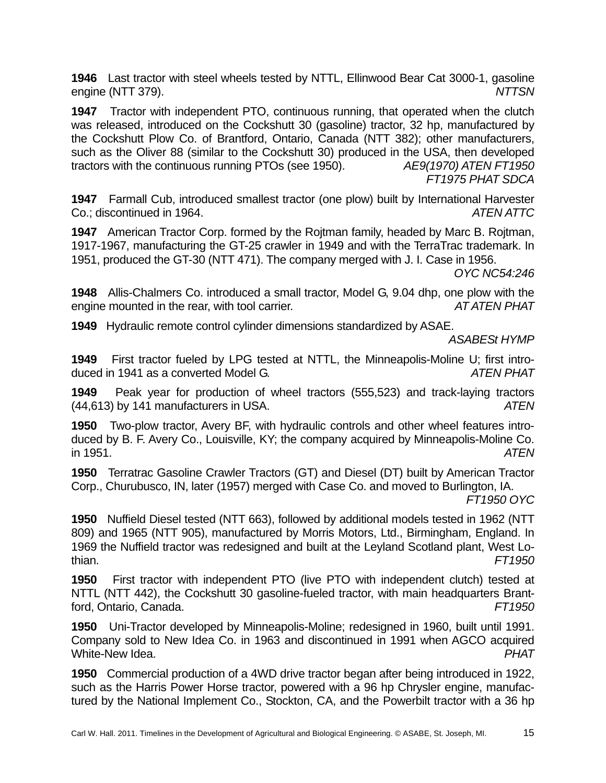**1946** Last tractor with steel wheels tested by NTTL, Ellinwood Bear Cat 3000-1, gasoline engine (NTT 379). *NTTSN* 

**1947** Tractor with independent PTO, continuous running, that operated when the clutch was released, introduced on the Cockshutt 30 (gasoline) tractor, 32 hp, manufactured by the Cockshutt Plow Co. of Brantford, Ontario, Canada (NTT 382); other manufacturers, such as the Oliver 88 (similar to the Cockshutt 30) produced in the USA, then developed tractors with the continuous running PTOs (see 1950). *AE9(1970) ATEN FT1950 FT1975 PHAT SDCA* 

**1947** Farmall Cub, introduced smallest tractor (one plow) built by International Harvester Co.; discontinued in 1964. *ATEN ATTC* 

**1947** American Tractor Corp. formed by the Rojtman family, headed by Marc B. Rojtman, 1917-1967, manufacturing the GT-25 crawler in 1949 and with the TerraTrac trademark. In 1951, produced the GT-30 (NTT 471). The company merged with J. I. Case in 1956.

*OYC NC54:246* 

**1948** Allis-Chalmers Co. introduced a small tractor, Model G, 9.04 dhp, one plow with the engine mounted in the rear, with tool carrier. *AT ATEN PHAT*

**1949** Hydraulic remote control cylinder dimensions standardized by ASAE.

*ASABESt HYMP* 

**1949** First tractor fueled by LPG tested at NTTL, the Minneapolis-Moline U; first introduced in 1941 as a converted Model G. *ATEN PHAT*

**1949** Peak year for production of wheel tractors (555,523) and track-laying tractors (44,613) by 141 manufacturers in USA. *ATEN*

**1950** Two-plow tractor, Avery BF, with hydraulic controls and other wheel features introduced by B. F. Avery Co., Louisville, KY; the company acquired by Minneapolis-Moline Co. in 1951. *ATEN*

**1950** Terratrac Gasoline Crawler Tractors (GT) and Diesel (DT) built by American Tractor Corp., Churubusco, IN, later (1957) merged with Case Co. and moved to Burlington, IA.

*FT1950 OYC*

**1950** Nuffield Diesel tested (NTT 663), followed by additional models tested in 1962 (NTT 809) and 1965 (NTT 905), manufactured by Morris Motors, Ltd., Birmingham, England. In 1969 the Nuffield tractor was redesigned and built at the Leyland Scotland plant, West Lothian. *FT1950*

**1950** First tractor with independent PTO (live PTO with independent clutch) tested at NTTL (NTT 442), the Cockshutt 30 gasoline-fueled tractor, with main headquarters Brantford, Ontario, Canada. *FT1950*

**1950** Uni-Tractor developed by Minneapolis-Moline; redesigned in 1960, built until 1991. Company sold to New Idea Co. in 1963 and discontinued in 1991 when AGCO acquired White-New Idea. *PHAT*

**1950** Commercial production of a 4WD drive tractor began after being introduced in 1922, such as the Harris Power Horse tractor, powered with a 96 hp Chrysler engine, manufactured by the National Implement Co., Stockton, CA, and the Powerbilt tractor with a 36 hp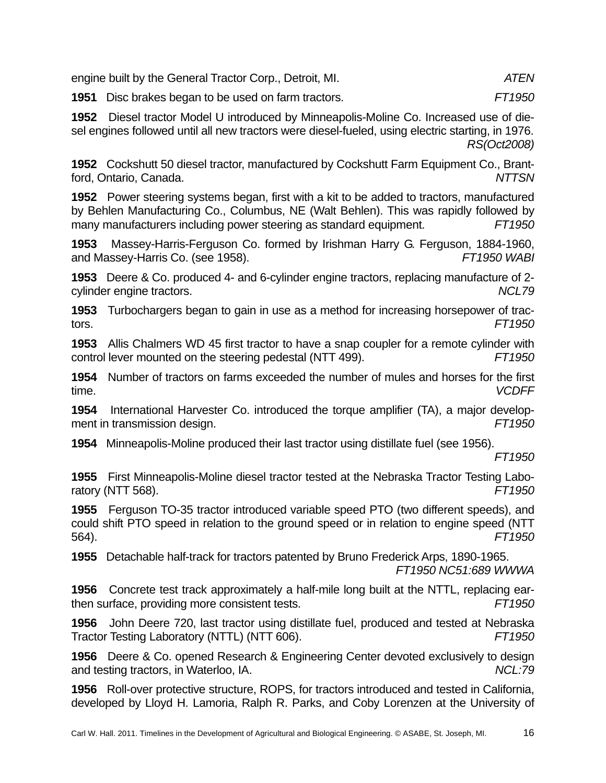engine built by the General Tractor Corp., Detroit, MI. *ATEN*

**1951** Disc brakes began to be used on farm tractors. *FT1950*

**1952** Diesel tractor Model U introduced by Minneapolis-Moline Co. Increased use of diesel engines followed until all new tractors were diesel-fueled, using electric starting, in 1976. *RS(Oct2008)*

**1952** Cockshutt 50 diesel tractor, manufactured by Cockshutt Farm Equipment Co., Brantford, Ontario, Canada. *NTTSN*

**1952** Power steering systems began, first with a kit to be added to tractors, manufactured by Behlen Manufacturing Co., Columbus, NE (Walt Behlen). This was rapidly followed by many manufacturers including power steering as standard equipment. *FT1950* 

**1953** Massey-Harris-Ferguson Co. formed by Irishman Harry G. Ferguson, 1884-1960, and Massey-Harris Co. (see 1958). *FT1950 WABI* 

**1953** Deere & Co. produced 4- and 6-cylinder engine tractors, replacing manufacture of 2 cylinder engine tractors. *NCL79*

**1953** Turbochargers began to gain in use as a method for increasing horsepower of tractors. *FT1950*

**1953** Allis Chalmers WD 45 first tractor to have a snap coupler for a remote cylinder with control lever mounted on the steering pedestal (NTT 499). *FT1950*

**1954** Number of tractors on farms exceeded the number of mules and horses for the first time. *VCDFF*

**1954** International Harvester Co. introduced the torque amplifier (TA), a major development in transmission design. *FT1950* 

**1954** Minneapolis-Moline produced their last tractor using distillate fuel (see 1956).

*FT1950* 

**1955** First Minneapolis-Moline diesel tractor tested at the Nebraska Tractor Testing Laboratory (NTT 568). *FT1950* 

**1955** Ferguson TO-35 tractor introduced variable speed PTO (two different speeds), and could shift PTO speed in relation to the ground speed or in relation to engine speed (NTT 564). *FT1950* 

**1955** Detachable half-track for tractors patented by Bruno Frederick Arps, 1890-1965. *FT1950 NC51:689 WWWA* 

**1956** Concrete test track approximately a half-mile long built at the NTTL, replacing earthen surface, providing more consistent tests. *FT1950* 

**1956** John Deere 720, last tractor using distillate fuel, produced and tested at Nebraska Tractor Testing Laboratory (NTTL) (NTT 606). *FT1950* 

**1956** Deere & Co. opened Research & Engineering Center devoted exclusively to design and testing tractors, in Waterloo, IA. *NCL:79* 

**1956** Roll-over protective structure, ROPS, for tractors introduced and tested in California, developed by Lloyd H. Lamoria, Ralph R. Parks, and Coby Lorenzen at the University of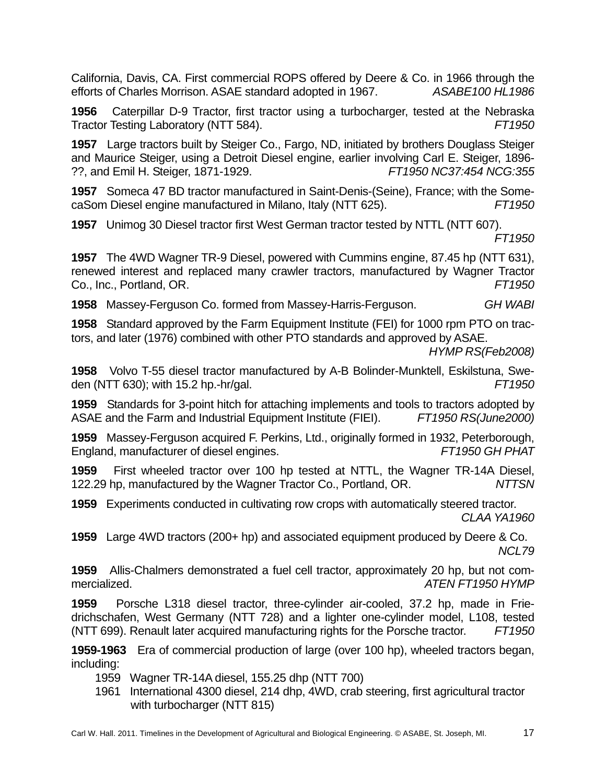California, Davis, CA. First commercial ROPS offered by Deere & Co. in 1966 through the efforts of Charles Morrison. ASAE standard adopted in 1967. *ASABE100 HL1986* 

**1956** Caterpillar D-9 Tractor, first tractor using a turbocharger, tested at the Nebraska Tractor Testing Laboratory (NTT 584). *FT1950* 

**1957** Large tractors built by Steiger Co., Fargo, ND, initiated by brothers Douglass Steiger and Maurice Steiger, using a Detroit Diesel engine, earlier involving Carl E. Steiger, 1896- ??, and Emil H. Steiger, 1871-1929. *FT1950 NC37:454 NCG:355* 

**1957** Someca 47 BD tractor manufactured in Saint-Denis-(Seine), France; with the SomecaSom Diesel engine manufactured in Milano, Italy (NTT 625). *FT1950* 

**1957** Unimog 30 Diesel tractor first West German tractor tested by NTTL (NTT 607).

*FT1950* 

**1957** The 4WD Wagner TR-9 Diesel, powered with Cummins engine, 87.45 hp (NTT 631), renewed interest and replaced many crawler tractors, manufactured by Wagner Tractor Co., Inc., Portland, OR. *FT1950* 

**1958** Massey-Ferguson Co. formed from Massey-Harris-Ferguson. *GH WABI* 

**1958** Standard approved by the Farm Equipment Institute (FEI) for 1000 rpm PTO on tractors, and later (1976) combined with other PTO standards and approved by ASAE.

*HYMP RS(Feb2008)* 

**1958** Volvo T-55 diesel tractor manufactured by A-B Bolinder-Munktell, Eskilstuna, Sweden (NTT 630); with 15.2 hp.-hr/gal. *FT1950* 

**1959** Standards for 3-point hitch for attaching implements and tools to tractors adopted by ASAE and the Farm and Industrial Equipment Institute (FIEI). *FT1950 RS(June2000)* 

**1959** Massey-Ferguson acquired F. Perkins, Ltd., originally formed in 1932, Peterborough, England, manufacturer of diesel engines. *FT1950 GH PHAT*

**1959** First wheeled tractor over 100 hp tested at NTTL, the Wagner TR-14A Diesel, 122.29 hp, manufactured by the Wagner Tractor Co., Portland, OR. *NTTSN* 

**1959** Experiments conducted in cultivating row crops with automatically steered tractor. *CLAA YA1960* 

**1959** Large 4WD tractors (200+ hp) and associated equipment produced by Deere & Co. *NCL79* 

**1959** Allis-Chalmers demonstrated a fuel cell tractor, approximately 20 hp, but not commercialized. *ATEN FT1950 HYMP* 

**1959** Porsche L318 diesel tractor, three-cylinder air-cooled, 37.2 hp, made in Friedrichschafen, West Germany (NTT 728) and a lighter one-cylinder model, L108, tested (NTT 699). Renault later acquired manufacturing rights for the Porsche tractor. *FT1950* 

**1959-1963** Era of commercial production of large (over 100 hp), wheeled tractors began, including:

1959 Wagner TR-14A diesel, 155.25 dhp (NTT 700)

1961 International 4300 diesel, 214 dhp, 4WD, crab steering, first agricultural tractor with turbocharger (NTT 815)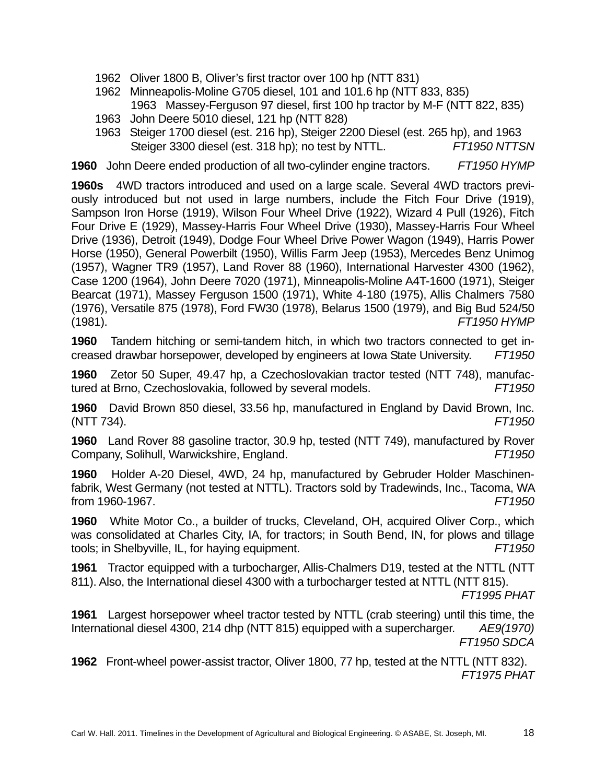- 1962 Oliver 1800 B, Oliver's first tractor over 100 hp (NTT 831)
- 1962 Minneapolis-Moline G705 diesel, 101 and 101.6 hp (NTT 833, 835) 1963 Massey-Ferguson 97 diesel, first 100 hp tractor by M-F (NTT 822, 835)
- 1963 John Deere 5010 diesel, 121 hp (NTT 828)
- 1963 Steiger 1700 diesel (est. 216 hp), Steiger 2200 Diesel (est. 265 hp), and 1963 Steiger 3300 diesel (est. 318 hp); no test by NTTL. *FT1950 NTTSN*

**1960** John Deere ended production of all two-cylinder engine tractors. *FT1950 HYMP*

**1960s** 4WD tractors introduced and used on a large scale. Several 4WD tractors previously introduced but not used in large numbers, include the Fitch Four Drive (1919), Sampson Iron Horse (1919), Wilson Four Wheel Drive (1922), Wizard 4 Pull (1926), Fitch Four Drive E (1929), Massey-Harris Four Wheel Drive (1930), Massey-Harris Four Wheel Drive (1936), Detroit (1949), Dodge Four Wheel Drive Power Wagon (1949), Harris Power Horse (1950), General Powerbilt (1950), Willis Farm Jeep (1953), Mercedes Benz Unimog (1957), Wagner TR9 (1957), Land Rover 88 (1960), International Harvester 4300 (1962), Case 1200 (1964), John Deere 7020 (1971), Minneapolis-Moline A4T-1600 (1971), Steiger Bearcat (1971), Massey Ferguson 1500 (1971), White 4-180 (1975), Allis Chalmers 7580 (1976), Versatile 875 (1978), Ford FW30 (1978), Belarus 1500 (1979), and Big Bud 524/50 (1981). *FT1950 HYMP* 

**1960** Tandem hitching or semi-tandem hitch, in which two tractors connected to get increased drawbar horsepower, developed by engineers at Iowa State University. *FT1950* 

**1960** Zetor 50 Super, 49.47 hp, a Czechoslovakian tractor tested (NTT 748), manufactured at Brno, Czechoslovakia, followed by several models. *FT1950* 

**1960** David Brown 850 diesel, 33.56 hp, manufactured in England by David Brown, Inc. (NTT 734). *FT1950* 

**1960** Land Rover 88 gasoline tractor, 30.9 hp, tested (NTT 749), manufactured by Rover Company, Solihull, Warwickshire, England. *FT1950* 

**1960** Holder A-20 Diesel, 4WD, 24 hp, manufactured by Gebruder Holder Maschinenfabrik, West Germany (not tested at NTTL). Tractors sold by Tradewinds, Inc., Tacoma, WA from 1960-1967. *FT1950* 

**1960** White Motor Co., a builder of trucks, Cleveland, OH, acquired Oliver Corp., which was consolidated at Charles City, IA, for tractors; in South Bend, IN, for plows and tillage tools; in Shelbyville, IL, for haying equipment. *FT1950*

**1961** Tractor equipped with a turbocharger, Allis-Chalmers D19, tested at the NTTL (NTT 811). Also, the International diesel 4300 with a turbocharger tested at NTTL (NTT 815).

*FT1995 PHAT*

**1961** Largest horsepower wheel tractor tested by NTTL (crab steering) until this time, the International diesel 4300, 214 dhp (NTT 815) equipped with a supercharger. *AE9(1970) FT1950 SDCA* 

**1962** Front-wheel power-assist tractor, Oliver 1800, 77 hp, tested at the NTTL (NTT 832). *FT1975 PHAT*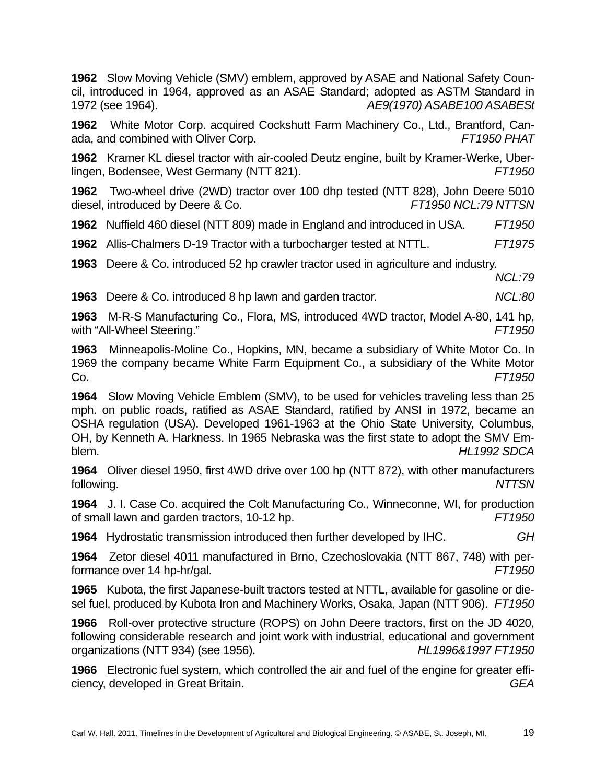**1962** Slow Moving Vehicle (SMV) emblem, approved by ASAE and National Safety Council, introduced in 1964, approved as an ASAE Standard; adopted as ASTM Standard in 1972 (see 1964). *AE9(1970) ASABE100 ASABESt* 

**1962** White Motor Corp. acquired Cockshutt Farm Machinery Co., Ltd., Brantford, Canada, and combined with Oliver Corp. *FT1950 PHAT* 

**1962** Kramer KL diesel tractor with air-cooled Deutz engine, built by Kramer-Werke, Uberlingen, Bodensee, West Germany (NTT 821). *FT1950* 

**1962** Two-wheel drive (2WD) tractor over 100 dhp tested (NTT 828), John Deere 5010 diesel, introduced by Deere & Co. *FT1950 NCL:79 NTTSN* 

**1962** Nuffield 460 diesel (NTT 809) made in England and introduced in USA. *FT1950* 

**1962** Allis-Chalmers D-19 Tractor with a turbocharger tested at NTTL. *FT1975* 

**1963** Deere & Co. introduced 52 hp crawler tractor used in agriculture and industry.

*NCL:79* 

**1963** Deere & Co. introduced 8 hp lawn and garden tractor. *NCL:80* 

**1963** M-R-S Manufacturing Co., Flora, MS, introduced 4WD tractor, Model A-80, 141 hp, with "All-Wheel Steering." *FT1950* 

**1963** Minneapolis-Moline Co., Hopkins, MN, became a subsidiary of White Motor Co. In 1969 the company became White Farm Equipment Co., a subsidiary of the White Motor Co. *FT1950* 

**1964** Slow Moving Vehicle Emblem (SMV), to be used for vehicles traveling less than 25 mph. on public roads, ratified as ASAE Standard, ratified by ANSI in 1972, became an OSHA regulation (USA). Developed 1961-1963 at the Ohio State University, Columbus, OH, by Kenneth A. Harkness. In 1965 Nebraska was the first state to adopt the SMV Emblem. *HL1992 SDCA*

**1964** Oliver diesel 1950, first 4WD drive over 100 hp (NTT 872), with other manufacturers following. *NTTSN* 

**1964** J. I. Case Co. acquired the Colt Manufacturing Co., Winneconne, WI, for production of small lawn and garden tractors, 10-12 hp. *FT1950* 

**1964** Hydrostatic transmission introduced then further developed by IHC. *GH* 

**1964** Zetor diesel 4011 manufactured in Brno, Czechoslovakia (NTT 867, 748) with performance over 14 hp-hr/gal. *FT1950*

**1965** Kubota, the first Japanese-built tractors tested at NTTL, available for gasoline or diesel fuel, produced by Kubota Iron and Machinery Works, Osaka, Japan (NTT 906). *FT1950* 

**1966** Roll-over protective structure (ROPS) on John Deere tractors, first on the JD 4020, following considerable research and joint work with industrial, educational and government organizations (NTT 934) (see 1956). *HL1996&1997 FT1950* 

**1966** Electronic fuel system, which controlled the air and fuel of the engine for greater efficiency, developed in Great Britain. *GEA*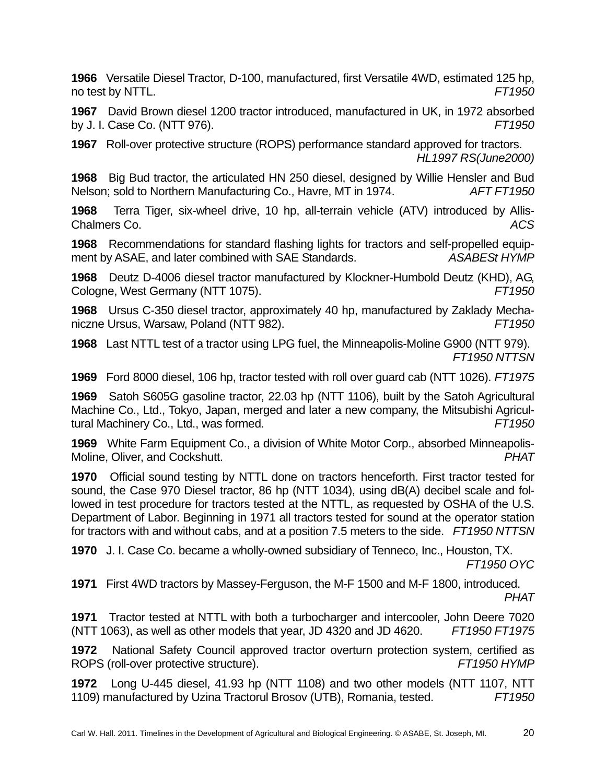**1966** Versatile Diesel Tractor, D-100, manufactured, first Versatile 4WD, estimated 125 hp, no test by NTTL. *FT1950* 

**1967** David Brown diesel 1200 tractor introduced, manufactured in UK, in 1972 absorbed by J. I. Case Co. (NTT 976). *FT1950* 

**1967** Roll-over protective structure (ROPS) performance standard approved for tractors. *HL1997 RS(June2000)* 

**1968** Big Bud tractor, the articulated HN 250 diesel, designed by Willie Hensler and Bud Nelson; sold to Northern Manufacturing Co., Havre, MT in 1974. *AFT FT1950* 

**1968** Terra Tiger, six-wheel drive, 10 hp, all-terrain vehicle (ATV) introduced by Allis-Chalmers Co. *ACS* 

**1968** Recommendations for standard flashing lights for tractors and self-propelled equipment by ASAE, and later combined with SAE Standards. **ASABEST HYMP** 

**1968** Deutz D-4006 diesel tractor manufactured by Klockner-Humbold Deutz (KHD), AG, Cologne, West Germany (NTT 1075). *FT1950* 

**1968** Ursus C-350 diesel tractor, approximately 40 hp, manufactured by Zaklady Mechaniczne Ursus, Warsaw, Poland (NTT 982). *FT1950*

**1968** Last NTTL test of a tractor using LPG fuel, the Minneapolis-Moline G900 (NTT 979). *FT1950 NTTSN*

**1969** Ford 8000 diesel, 106 hp, tractor tested with roll over guard cab (NTT 1026). *FT1975* 

**1969** Satoh S605G gasoline tractor, 22.03 hp (NTT 1106), built by the Satoh Agricultural Machine Co., Ltd., Tokyo, Japan, merged and later a new company, the Mitsubishi Agricultural Machinery Co., Ltd., was formed. *FT1950*

**1969** White Farm Equipment Co., a division of White Motor Corp., absorbed Minneapolis-Moline, Oliver, and Cockshutt. *PHAT*

**1970** Official sound testing by NTTL done on tractors henceforth. First tractor tested for sound, the Case 970 Diesel tractor, 86 hp (NTT 1034), using dB(A) decibel scale and followed in test procedure for tractors tested at the NTTL, as requested by OSHA of the U.S. Department of Labor. Beginning in 1971 all tractors tested for sound at the operator station for tractors with and without cabs, and at a position 7.5 meters to the side. *FT1950 NTTSN*

**1970** J. I. Case Co. became a wholly-owned subsidiary of Tenneco, Inc., Houston, TX. *FT1950 OYC* 

**1971** First 4WD tractors by Massey-Ferguson, the M-F 1500 and M-F 1800, introduced. *PHAT*

**1971** Tractor tested at NTTL with both a turbocharger and intercooler, John Deere 7020 (NTT 1063), as well as other models that year, JD 4320 and JD 4620. *FT1950 FT1975* 

**1972** National Safety Council approved tractor overturn protection system, certified as ROPS (roll-over protective structure). *FT1950 HYMP*

**1972** Long U-445 diesel, 41.93 hp (NTT 1108) and two other models (NTT 1107, NTT 1109) manufactured by Uzina Tractorul Brosov (UTB), Romania, tested. *FT1950*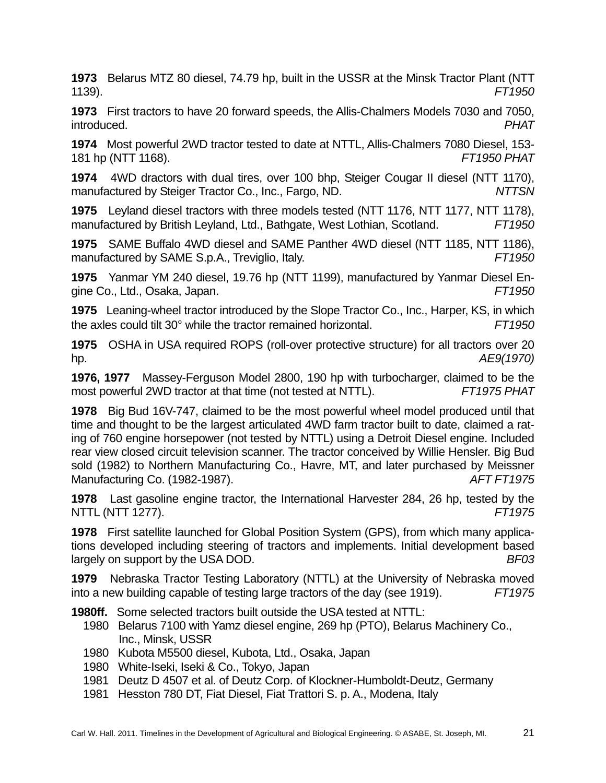**1973** Belarus MTZ 80 diesel, 74.79 hp, built in the USSR at the Minsk Tractor Plant (NTT 1139). *FT1950*

**1973** First tractors to have 20 forward speeds, the Allis-Chalmers Models 7030 and 7050, introduced. *PHAT*

**1974** Most powerful 2WD tractor tested to date at NTTL, Allis-Chalmers 7080 Diesel, 153- 181 hp (NTT 1168). *FT1950 PHAT*

**1974** 4WD dractors with dual tires, over 100 bhp, Steiger Cougar II diesel (NTT 1170), manufactured by Steiger Tractor Co., Inc., Fargo, ND. *NTTSN*

**1975** Leyland diesel tractors with three models tested (NTT 1176, NTT 1177, NTT 1178), manufactured by British Leyland, Ltd., Bathgate, West Lothian, Scotland. *FT1950*

**1975** SAME Buffalo 4WD diesel and SAME Panther 4WD diesel (NTT 1185, NTT 1186), manufactured by SAME S.p.A., Treviglio, Italy. *FT1950* 

**1975** Yanmar YM 240 diesel, 19.76 hp (NTT 1199), manufactured by Yanmar Diesel Engine Co., Ltd., Osaka, Japan. *FT1950*

**1975** Leaning-wheel tractor introduced by the Slope Tractor Co., Inc., Harper, KS, in which the axles could tilt 30° while the tractor remained horizontal. *FT1950* 

**1975** OSHA in USA required ROPS (roll-over protective structure) for all tractors over 20 hp. *AE9(1970)*

**1976, 1977** Massey-Ferguson Model 2800, 190 hp with turbocharger, claimed to be the most powerful 2WD tractor at that time (not tested at NTTL). *FT1975 PHAT* 

**1978** Big Bud 16V-747, claimed to be the most powerful wheel model produced until that time and thought to be the largest articulated 4WD farm tractor built to date, claimed a rating of 760 engine horsepower (not tested by NTTL) using a Detroit Diesel engine. Included rear view closed circuit television scanner. The tractor conceived by Willie Hensler. Big Bud sold (1982) to Northern Manufacturing Co., Havre, MT, and later purchased by Meissner Manufacturing Co. (1982-1987). *AFT FT1975*

**1978** Last gasoline engine tractor, the International Harvester 284, 26 hp, tested by the NTTL (NTT 1277). *FT1975*

**1978** First satellite launched for Global Position System (GPS), from which many applications developed including steering of tractors and implements. Initial development based largely on support by the USA DOD. *BF03*

**1979** Nebraska Tractor Testing Laboratory (NTTL) at the University of Nebraska moved into a new building capable of testing large tractors of the day (see 1919). *FT1975* 

**1980ff.** Some selected tractors built outside the USA tested at NTTL:

- 1980 Belarus 7100 with Yamz diesel engine, 269 hp (PTO), Belarus Machinery Co., Inc., Minsk, USSR
- 1980 Kubota M5500 diesel, Kubota, Ltd., Osaka, Japan
- 1980 White-Iseki, Iseki & Co., Tokyo, Japan
- 1981 Deutz D 4507 et al. of Deutz Corp. of Klockner-Humboldt-Deutz, Germany
- 1981 Hesston 780 DT, Fiat Diesel, Fiat Trattori S. p. A., Modena, Italy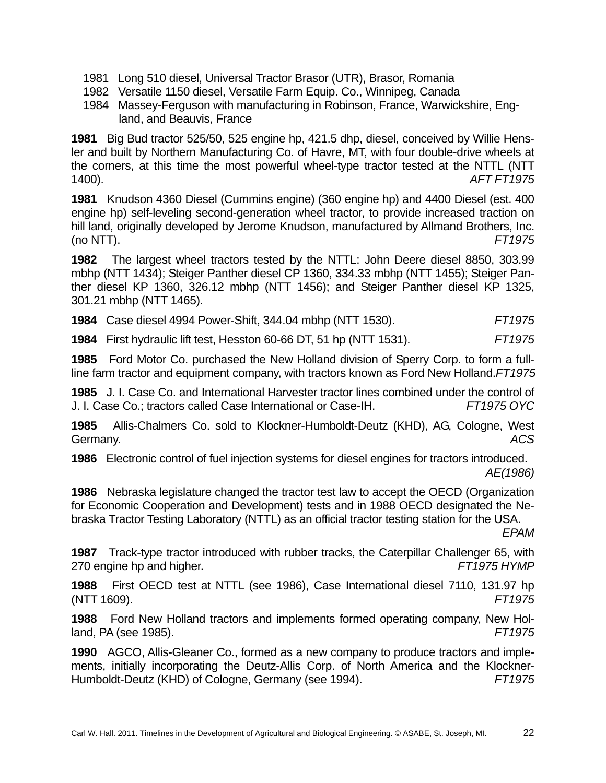- 1981 Long 510 diesel, Universal Tractor Brasor (UTR), Brasor, Romania
- 1982 Versatile 1150 diesel, Versatile Farm Equip. Co., Winnipeg, Canada
- 1984 Massey-Ferguson with manufacturing in Robinson, France, Warwickshire, England, and Beauvis, France

**1981** Big Bud tractor 525/50, 525 engine hp, 421.5 dhp, diesel, conceived by Willie Hensler and built by Northern Manufacturing Co. of Havre, MT, with four double-drive wheels at the corners, at this time the most powerful wheel-type tractor tested at the NTTL (NTT 1400). *AFT FT1975* 

**1981** Knudson 4360 Diesel (Cummins engine) (360 engine hp) and 4400 Diesel (est. 400 engine hp) self-leveling second-generation wheel tractor, to provide increased traction on hill land, originally developed by Jerome Knudson, manufactured by Allmand Brothers, Inc. (no NTT). *FT1975* 

**1982** The largest wheel tractors tested by the NTTL: John Deere diesel 8850, 303.99 mbhp (NTT 1434); Steiger Panther diesel CP 1360, 334.33 mbhp (NTT 1455); Steiger Panther diesel KP 1360, 326.12 mbhp (NTT 1456); and Steiger Panther diesel KP 1325, 301.21 mbhp (NTT 1465).

|  | <b>1984</b> Case diesel 4994 Power-Shift, 344.04 mbhp (NTT 1530). | FT1975 |
|--|-------------------------------------------------------------------|--------|
|--|-------------------------------------------------------------------|--------|

**1984** First hydraulic lift test, Hesston 60-66 DT, 51 hp (NTT 1531). *FT1975* 

**1985** Ford Motor Co. purchased the New Holland division of Sperry Corp. to form a fullline farm tractor and equipment company, with tractors known as Ford New Holland.*FT1975* 

**1985** J. I. Case Co. and International Harvester tractor lines combined under the control of J. I. Case Co.; tractors called Case International or Case-IH. *FT1975 OYC* 

**1985** Allis-Chalmers Co. sold to Klockner-Humboldt-Deutz (KHD), AG, Cologne, West Germany. *ACS* 

**1986** Electronic control of fuel injection systems for diesel engines for tractors introduced. *AE(1986)* 

**1986** Nebraska legislature changed the tractor test law to accept the OECD (Organization for Economic Cooperation and Development) tests and in 1988 OECD designated the Nebraska Tractor Testing Laboratory (NTTL) as an official tractor testing station for the USA.

*EPAM*

**1987** Track-type tractor introduced with rubber tracks, the Caterpillar Challenger 65, with 270 engine hp and higher. *FT1975 HYMP*

**1988** First OECD test at NTTL (see 1986), Case International diesel 7110, 131.97 hp (NTT 1609). *FT1975*

**1988** Ford New Holland tractors and implements formed operating company, New Holland, PA (see 1985). *FT1975*

**1990** AGCO, Allis-Gleaner Co., formed as a new company to produce tractors and implements, initially incorporating the Deutz-Allis Corp. of North America and the Klockner-Humboldt-Deutz (KHD) of Cologne, Germany (see 1994). *FT1975*